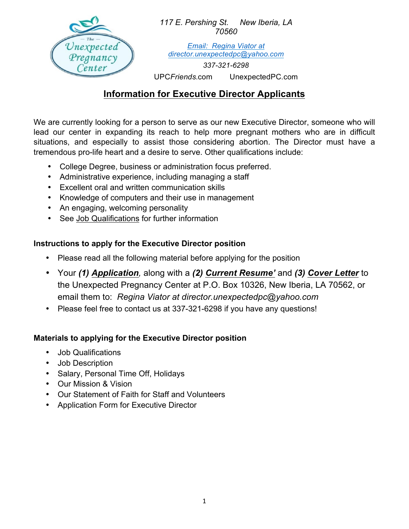

*117 E. Pershing St. New Iberia, LA 70560*

*Email: Regina Viator at director.unexpectedpc@yahoo.com*

*337-321-6298* 

UPC*Friends*.com UnexpectedPC.com

### **Information for Executive Director Applicants**

We are currently looking for a person to serve as our new Executive Director, someone who will lead our center in expanding its reach to help more pregnant mothers who are in difficult situations, and especially to assist those considering abortion. The Director must have a tremendous pro-life heart and a desire to serve. Other qualifications include:

- College Degree, business or administration focus preferred.
- Administrative experience, including managing a staff
- Excellent oral and written communication skills
- Knowledge of computers and their use in management
- An engaging, welcoming personality
- See Job Qualifications for further information

### **Instructions to apply for the Executive Director position**

- Please read all the following material before applying for the position
- Your *(1) Application,* along with a *(2) Current Resume'* and *(3) Cover Letter* to the Unexpected Pregnancy Center at P.O. Box 10326, New Iberia, LA 70562, or email them to: *Regina Viator at director.unexpectedpc@yahoo.com*
- Please feel free to contact us at 337-321-6298 if you have any questions!

#### **Materials to applying for the Executive Director position**

- Job Qualifications
- Job Description
- Salary, Personal Time Off, Holidays
- Our Mission & Vision
- Our Statement of Faith for Staff and Volunteers
- Application Form for Executive Director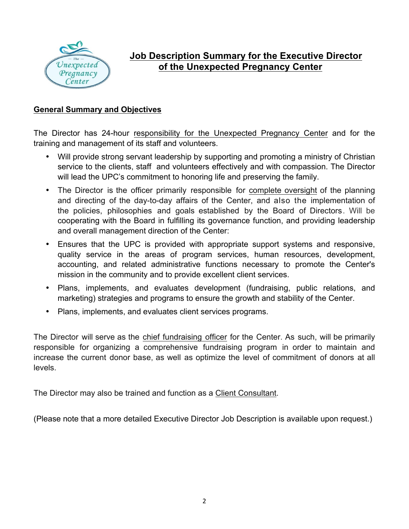

# **Job Description Summary for the Executive Director of the Unexpected Pregnancy Center**

#### **General Summary and Objectives**

The Director has 24-hour responsibility for the Unexpected Pregnancy Center and for the training and management of its staff and volunteers.

- Will provide strong servant leadership by supporting and promoting a ministry of Christian service to the clients, staff and volunteers effectively and with compassion. The Director will lead the UPC's commitment to honoring life and preserving the family.
- The Director is the officer primarily responsible for complete oversight of the planning and directing of the day-to-day affairs of the Center, and also the implementation of the policies, philosophies and goals established by the Board of Directors. Will be cooperating with the Board in fulfilling its governance function, and providing leadership and overall management direction of the Center:
- Ensures that the UPC is provided with appropriate support systems and responsive, quality service in the areas of program services, human resources, development, accounting, and related administrative functions necessary to promote the Center's mission in the community and to provide excellent client services.
- Plans, implements, and evaluates development (fundraising, public relations, and marketing) strategies and programs to ensure the growth and stability of the Center.
- Plans, implements, and evaluates client services programs.

The Director will serve as the chief fundraising officer for the Center. As such, will be primarily responsible for organizing a comprehensive fundraising program in order to maintain and increase the current donor base, as well as optimize the level of commitment of donors at all levels.

The Director may also be trained and function as a Client Consultant.

(Please note that a more detailed Executive Director Job Description is available upon request.)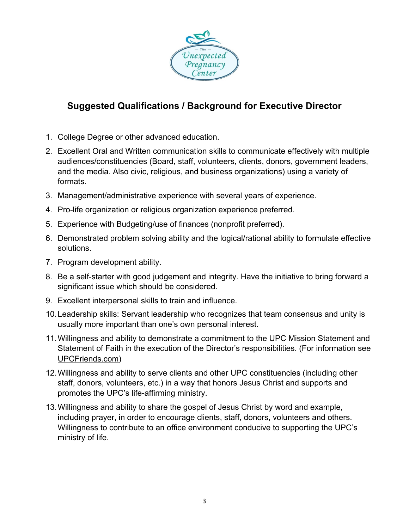

# **Suggested Qualifications / Background for Executive Director**

- 1. College Degree or other advanced education.
- 2. Excellent Oral and Written communication skills to communicate effectively with multiple audiences/constituencies (Board, staff, volunteers, clients, donors, government leaders, and the media. Also civic, religious, and business organizations) using a variety of formats.
- 3. Management/administrative experience with several years of experience.
- 4. Pro-life organization or religious organization experience preferred.
- 5. Experience with Budgeting/use of finances (nonprofit preferred).
- 6. Demonstrated problem solving ability and the logical/rational ability to formulate effective solutions.
- 7. Program development ability.
- 8. Be a self-starter with good judgement and integrity. Have the initiative to bring forward a significant issue which should be considered.
- 9. Excellent interpersonal skills to train and influence.
- 10.Leadership skills: Servant leadership who recognizes that team consensus and unity is usually more important than one's own personal interest.
- 11.Willingness and ability to demonstrate a commitment to the UPC Mission Statement and Statement of Faith in the execution of the Director's responsibilities. (For information see UPCFriends.com)
- 12.Willingness and ability to serve clients and other UPC constituencies (including other staff, donors, volunteers, etc.) in a way that honors Jesus Christ and supports and promotes the UPC's life-affirming ministry.
- 13.Willingness and ability to share the gospel of Jesus Christ by word and example, including prayer, in order to encourage clients, staff, donors, volunteers and others. Willingness to contribute to an office environment conducive to supporting the UPC's ministry of life.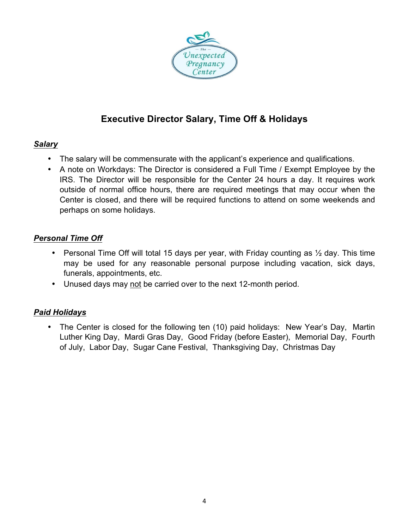

# **Executive Director Salary, Time Off & Holidays**

### *Salary*

- The salary will be commensurate with the applicant's experience and qualifications.
- A note on Workdays: The Director is considered a Full Time / Exempt Employee by the IRS. The Director will be responsible for the Center 24 hours a day. It requires work outside of normal office hours, there are required meetings that may occur when the Center is closed, and there will be required functions to attend on some weekends and perhaps on some holidays.

### *Personal Time Off*

- Personal Time Off will total 15 days per year, with Friday counting as  $\frac{1}{2}$  day. This time may be used for any reasonable personal purpose including vacation, sick days, funerals, appointments, etc.
- Unused days may not be carried over to the next 12-month period.

### *Paid Holidays*

• The Center is closed for the following ten (10) paid holidays: New Year's Day, Martin Luther King Day, Mardi Gras Day, Good Friday (before Easter), Memorial Day, Fourth of July, Labor Day, Sugar Cane Festival, Thanksgiving Day, Christmas Day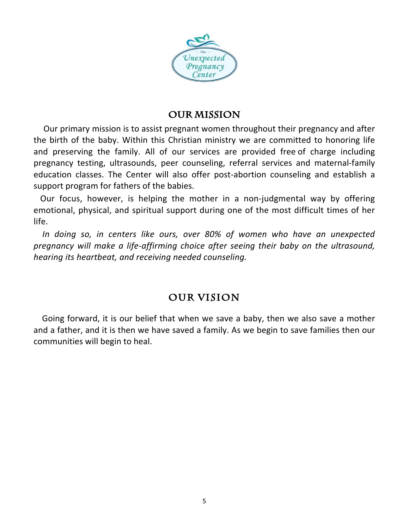

### **OUR MISSION**

Our primary mission is to assist pregnant women throughout their pregnancy and after the birth of the baby. Within this Christian ministry we are committed to honoring life and preserving the family. All of our services are provided free of charge including pregnancy testing, ultrasounds, peer counseling, referral services and maternal-family education classes. The Center will also offer post-abortion counseling and establish a support program for fathers of the babies.

Our focus, however, is helping the mother in a non-judgmental way by offering emotional, physical, and spiritual support during one of the most difficult times of her life. 

In doing so, in centers like ours, over 80% of women who have an unexpected *pregnancy* will make a life-affirming choice after seeing their baby on the ultrasound, *hearing its heartbeat, and receiving needed counseling.*

## **Our Vision**

Going forward, it is our belief that when we save a baby, then we also save a mother and a father, and it is then we have saved a family. As we begin to save families then our communities will begin to heal.